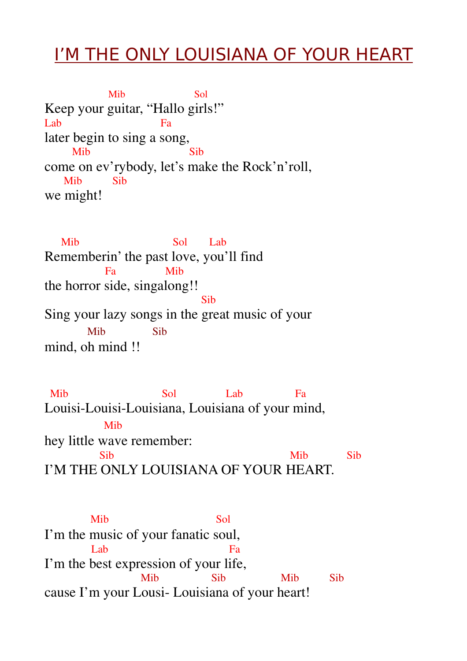## I'M THE ONLY LOUISIANA OF YOUR HEART

Mib Sol Keep your guitar, "Hallo girls!" Lab Fa later begin to sing a song, Mib Sib come on ev'rybody, let's make the Rock'n'roll, Mib Sib we might!

Mib Sol Lab Rememberin' the past love, you'll find Fa Mib the horror side, singalong!! **Sib** Sib Sing your lazy songs in the great music of your Mib Sib mind, oh mind !!

Mib Sol Lab Fa Louisi-Louisi-Louisiana, Louisiana of your mind, Mib hey little wave remember: Sib Mib Sib I'M THE ONLY LOUISIANA OF YOUR HEART.

Mib Sol I'm the music of your fanatic soul, Lab Fa I'm the best expression of your life, Mib Sib Mib Sib cause I'm your Lousi- Louisiana of your heart!